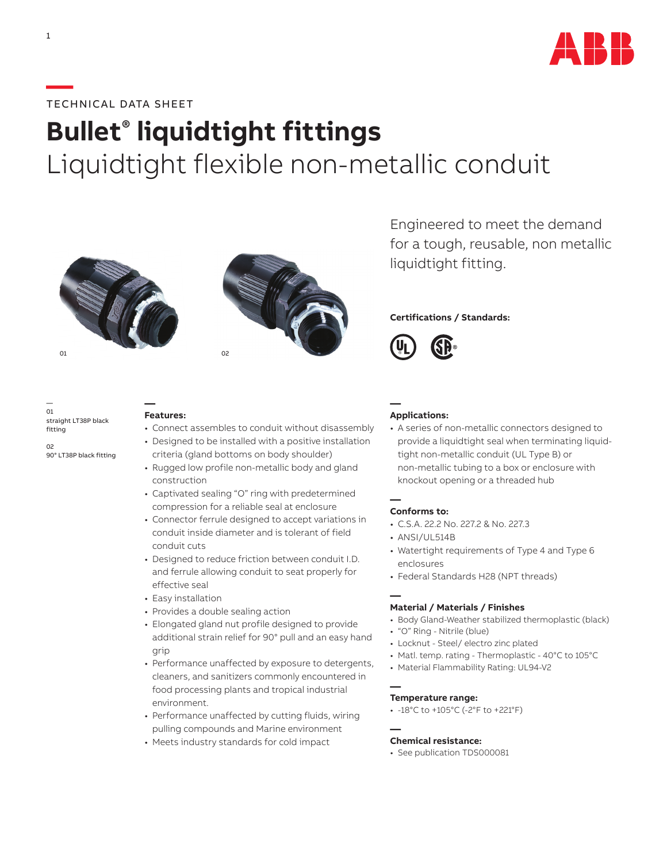

## **—**TECHNICAL DATA SHEET

# **Bullet® liquidtight fittings**  Liquidtight flexible non-metallic conduit





Engineered to meet the demand for a tough, reusable, non metallic liquidtight fitting.

### **Certifications / Standards:**



— 01 straight LT38P black fitting

02 90° LT38P black fitting

#### **— Features:**

- Connect assembles to conduit without disassembly
- Designed to be installed with a positive installation criteria (gland bottoms on body shoulder)
- Rugged low profile non-metallic body and gland construction
- Captivated sealing "O" ring with predetermined compression for a reliable seal at enclosure
- Connector ferrule designed to accept variations in conduit inside diameter and is tolerant of field conduit cuts
- Designed to reduce friction between conduit I.D. and ferrule allowing conduit to seat properly for effective seal
- Easy installation
- Provides a double sealing action
- Elongated gland nut profile designed to provide additional strain relief for 90° pull and an easy hand grip
- Performance unaffected by exposure to detergents, cleaners, and sanitizers commonly encountered in food processing plants and tropical industrial environment.
- Performance unaffected by cutting fluids, wiring pulling compounds and Marine environment
- Meets industry standards for cold impact

#### **— Applications:**

• A series of non-metallic connectors designed to provide a liquidtight seal when terminating liquidtight non-metallic conduit (UL Type B) or non-metallic tubing to a box or enclosure with knockout opening or a threaded hub

#### **— Conforms to:**

- C.S.A. 22.2 No. 227.2 & No. 227.3
- ANSI/UL514B
- Watertight requirements of Type 4 and Type 6 enclosures
- Federal Standards H28 (NPT threads)

#### **— Material / Materials / Finishes**

- Body Gland-Weather stabilized thermoplastic (black)
- "O" Ring Nitrile (blue)
- Locknut Steel/ electro zinc plated
- Matl. temp. rating Thermoplastic 40°C to 105°C
- Material Flammability Rating: UL94-V2

#### **— Temperature range:**

• -18°C to +105°C (-2°F to +221°F)

#### **— Chemical resistance:**

• See publication TDS000081